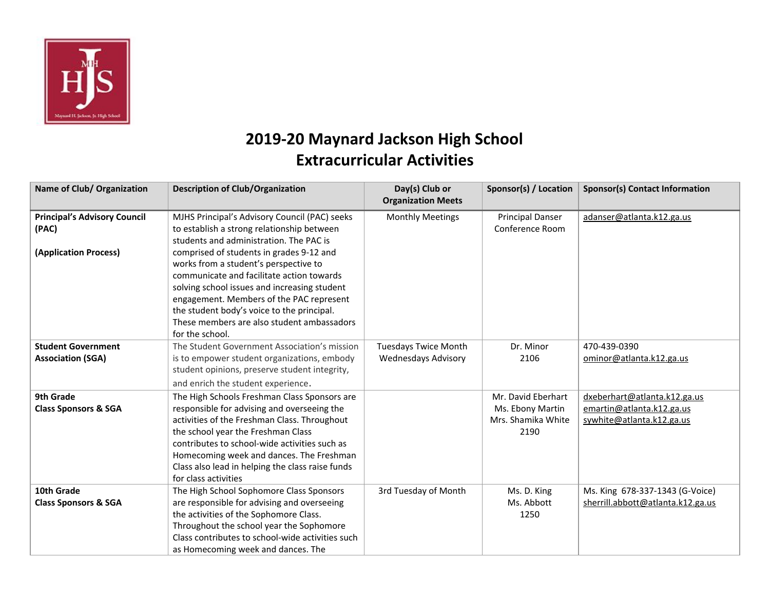

## **2019-20 Maynard Jackson High School Extracurricular Activities**

| Name of Club/ Organization                                            | <b>Description of Club/Organization</b>                                                                                                                                                                                                                                                                                                                                                                                                                                             | Day(s) Club or<br><b>Organization Meets</b>               | Sponsor(s) / Location                                                | <b>Sponsor(s) Contact Information</b>                                                  |
|-----------------------------------------------------------------------|-------------------------------------------------------------------------------------------------------------------------------------------------------------------------------------------------------------------------------------------------------------------------------------------------------------------------------------------------------------------------------------------------------------------------------------------------------------------------------------|-----------------------------------------------------------|----------------------------------------------------------------------|----------------------------------------------------------------------------------------|
| <b>Principal's Advisory Council</b><br>(PAC)<br>(Application Process) | MJHS Principal's Advisory Council (PAC) seeks<br>to establish a strong relationship between<br>students and administration. The PAC is<br>comprised of students in grades 9-12 and<br>works from a student's perspective to<br>communicate and facilitate action towards<br>solving school issues and increasing student<br>engagement. Members of the PAC represent<br>the student body's voice to the principal.<br>These members are also student ambassadors<br>for the school. | <b>Monthly Meetings</b>                                   | <b>Principal Danser</b><br>Conference Room                           | adanser@atlanta.k12.ga.us                                                              |
| <b>Student Government</b><br><b>Association (SGA)</b>                 | The Student Government Association's mission<br>is to empower student organizations, embody<br>student opinions, preserve student integrity,<br>and enrich the student experience.                                                                                                                                                                                                                                                                                                  | <b>Tuesdays Twice Month</b><br><b>Wednesdays Advisory</b> | Dr. Minor<br>2106                                                    | 470-439-0390<br>ominor@atlanta.k12.ga.us                                               |
| 9th Grade<br><b>Class Sponsors &amp; SGA</b>                          | The High Schools Freshman Class Sponsors are<br>responsible for advising and overseeing the<br>activities of the Freshman Class. Throughout<br>the school year the Freshman Class<br>contributes to school-wide activities such as<br>Homecoming week and dances. The Freshman<br>Class also lead in helping the class raise funds<br>for class activities                                                                                                                          |                                                           | Mr. David Eberhart<br>Ms. Ebony Martin<br>Mrs. Shamika White<br>2190 | dxeberhart@atlanta.k12.ga.us<br>emartin@atlanta.k12.ga.us<br>sywhite@atlanta.k12.ga.us |
| 10th Grade<br><b>Class Sponsors &amp; SGA</b>                         | The High School Sophomore Class Sponsors<br>are responsible for advising and overseeing<br>the activities of the Sophomore Class.<br>Throughout the school year the Sophomore<br>Class contributes to school-wide activities such<br>as Homecoming week and dances. The                                                                                                                                                                                                             | 3rd Tuesday of Month                                      | Ms. D. King<br>Ms. Abbott<br>1250                                    | Ms. King 678-337-1343 (G-Voice)<br>sherrill.abbott@atlanta.k12.ga.us                   |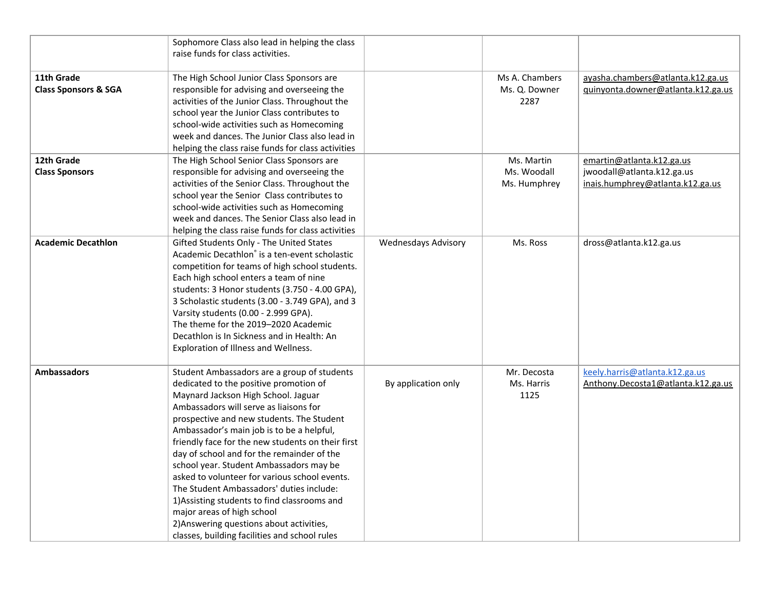|                                               | Sophomore Class also lead in helping the class<br>raise funds for class activities.                                                                                                                                                                                                                                                                                                                                                                                                                                                                                                                                                                                                    |                            |                                           |                                                                                             |
|-----------------------------------------------|----------------------------------------------------------------------------------------------------------------------------------------------------------------------------------------------------------------------------------------------------------------------------------------------------------------------------------------------------------------------------------------------------------------------------------------------------------------------------------------------------------------------------------------------------------------------------------------------------------------------------------------------------------------------------------------|----------------------------|-------------------------------------------|---------------------------------------------------------------------------------------------|
| 11th Grade<br><b>Class Sponsors &amp; SGA</b> | The High School Junior Class Sponsors are<br>responsible for advising and overseeing the<br>activities of the Junior Class. Throughout the<br>school year the Junior Class contributes to<br>school-wide activities such as Homecoming<br>week and dances. The Junior Class also lead in<br>helping the class raise funds for class activities                                                                                                                                                                                                                                                                                                                                         |                            | Ms A. Chambers<br>Ms. Q. Downer<br>2287   | ayasha.chambers@atlanta.k12.ga.us<br>guinyonta.downer@atlanta.k12.ga.us                     |
| 12th Grade<br><b>Class Sponsors</b>           | The High School Senior Class Sponsors are<br>responsible for advising and overseeing the<br>activities of the Senior Class. Throughout the<br>school year the Senior Class contributes to<br>school-wide activities such as Homecoming<br>week and dances. The Senior Class also lead in<br>helping the class raise funds for class activities                                                                                                                                                                                                                                                                                                                                         |                            | Ms. Martin<br>Ms. Woodall<br>Ms. Humphrey | emartin@atlanta.k12.ga.us<br>jwoodall@atlanta.k12.ga.us<br>inais.humphrey@atlanta.k12.ga.us |
| <b>Academic Decathlon</b>                     | Gifted Students Only - The United States<br>Academic Decathlon® is a ten-event scholastic<br>competition for teams of high school students.<br>Each high school enters a team of nine<br>students: 3 Honor students (3.750 - 4.00 GPA),<br>3 Scholastic students (3.00 - 3.749 GPA), and 3<br>Varsity students (0.00 - 2.999 GPA).<br>The theme for the 2019-2020 Academic<br>Decathlon is In Sickness and in Health: An<br>Exploration of Illness and Wellness.                                                                                                                                                                                                                       | <b>Wednesdays Advisory</b> | Ms. Ross                                  | dross@atlanta.k12.ga.us                                                                     |
| <b>Ambassadors</b>                            | Student Ambassadors are a group of students<br>dedicated to the positive promotion of<br>Maynard Jackson High School. Jaguar<br>Ambassadors will serve as liaisons for<br>prospective and new students. The Student<br>Ambassador's main job is to be a helpful,<br>friendly face for the new students on their first<br>day of school and for the remainder of the<br>school year. Student Ambassadors may be<br>asked to volunteer for various school events.<br>The Student Ambassadors' duties include:<br>1) Assisting students to find classrooms and<br>major areas of high school<br>2) Answering questions about activities,<br>classes, building facilities and school rules | By application only        | Mr. Decosta<br>Ms. Harris<br>1125         | keely.harris@atlanta.k12.ga.us<br>Anthony.Decosta1@atlanta.k12.ga.us                        |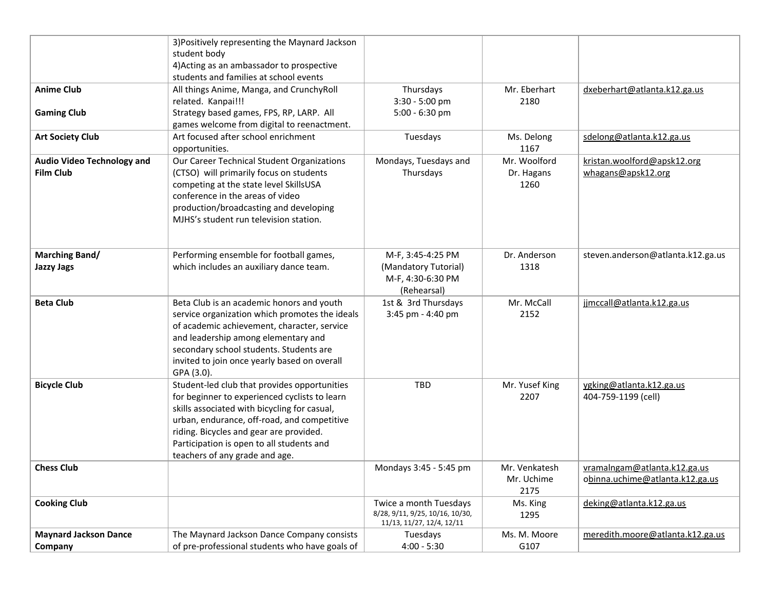|                                                       | 3) Positively representing the Maynard Jackson<br>student body                                                                                                                                                                                                                                                         |                                                                                        |                                     |                                                                 |
|-------------------------------------------------------|------------------------------------------------------------------------------------------------------------------------------------------------------------------------------------------------------------------------------------------------------------------------------------------------------------------------|----------------------------------------------------------------------------------------|-------------------------------------|-----------------------------------------------------------------|
|                                                       | 4) Acting as an ambassador to prospective<br>students and families at school events                                                                                                                                                                                                                                    |                                                                                        |                                     |                                                                 |
| <b>Anime Club</b>                                     | All things Anime, Manga, and CrunchyRoll<br>related. Kanpai!!!                                                                                                                                                                                                                                                         | Thursdays<br>3:30 - 5:00 pm                                                            | Mr. Eberhart<br>2180                | dxeberhart@atlanta.k12.ga.us                                    |
| <b>Gaming Club</b>                                    | Strategy based games, FPS, RP, LARP. All<br>games welcome from digital to reenactment.                                                                                                                                                                                                                                 | $5:00 - 6:30$ pm                                                                       |                                     |                                                                 |
| <b>Art Society Club</b>                               | Art focused after school enrichment<br>opportunities.                                                                                                                                                                                                                                                                  | Tuesdays                                                                               | Ms. Delong<br>1167                  | sdelong@atlanta.k12.ga.us                                       |
| <b>Audio Video Technology and</b><br><b>Film Club</b> | Our Career Technical Student Organizations<br>(CTSO) will primarily focus on students<br>competing at the state level SkillsUSA<br>conference in the areas of video<br>production/broadcasting and developing<br>MJHS's student run television station.                                                                | Mondays, Tuesdays and<br>Thursdays                                                     | Mr. Woolford<br>Dr. Hagans<br>1260  | kristan.woolford@apsk12.org<br>whagans@apsk12.org               |
| <b>Marching Band/</b><br><b>Jazzy Jags</b>            | Performing ensemble for football games,<br>which includes an auxiliary dance team.                                                                                                                                                                                                                                     | M-F, 3:45-4:25 PM<br>(Mandatory Tutorial)<br>M-F, 4:30-6:30 PM<br>(Rehearsal)          | Dr. Anderson<br>1318                | steven.anderson@atlanta.k12.ga.us                               |
| <b>Beta Club</b>                                      | Beta Club is an academic honors and youth<br>service organization which promotes the ideals<br>of academic achievement, character, service<br>and leadership among elementary and<br>secondary school students. Students are<br>invited to join once yearly based on overall<br>GPA (3.0).                             | 1st & 3rd Thursdays<br>3:45 pm - 4:40 pm                                               | Mr. McCall<br>2152                  | jjmccall@atlanta.k12.ga.us                                      |
| <b>Bicycle Club</b>                                   | Student-led club that provides opportunities<br>for beginner to experienced cyclists to learn<br>skills associated with bicycling for casual,<br>urban, endurance, off-road, and competitive<br>riding. Bicycles and gear are provided.<br>Participation is open to all students and<br>teachers of any grade and age. | <b>TBD</b>                                                                             | Mr. Yusef King<br>2207              | ygking@atlanta.k12.ga.us<br>404-759-1199 (cell)                 |
| <b>Chess Club</b>                                     |                                                                                                                                                                                                                                                                                                                        | Mondays 3:45 - 5:45 pm                                                                 | Mr. Venkatesh<br>Mr. Uchime<br>2175 | vramalngam@atlanta.k12.ga.us<br>obinna.uchime@atlanta.k12.ga.us |
| <b>Cooking Club</b>                                   |                                                                                                                                                                                                                                                                                                                        | Twice a month Tuesdays<br>8/28, 9/11, 9/25, 10/16, 10/30,<br>11/13, 11/27, 12/4, 12/11 | Ms. King<br>1295                    | deking@atlanta.k12.ga.us                                        |
| <b>Maynard Jackson Dance</b>                          | The Maynard Jackson Dance Company consists                                                                                                                                                                                                                                                                             | Tuesdays                                                                               | Ms. M. Moore                        | meredith.moore@atlanta.k12.ga.us                                |
| Company                                               | of pre-professional students who have goals of                                                                                                                                                                                                                                                                         | $4:00 - 5:30$                                                                          | G107                                |                                                                 |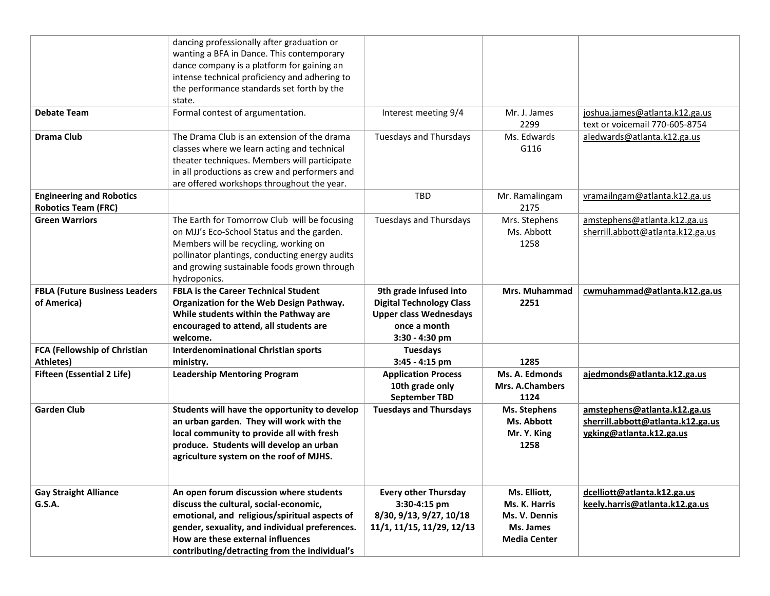|                                                               | dancing professionally after graduation or<br>wanting a BFA in Dance. This contemporary<br>dance company is a platform for gaining an<br>intense technical proficiency and adhering to<br>the performance standards set forth by the<br>state.                             |                                                                                                                              |                                                                                    |                                                                                               |
|---------------------------------------------------------------|----------------------------------------------------------------------------------------------------------------------------------------------------------------------------------------------------------------------------------------------------------------------------|------------------------------------------------------------------------------------------------------------------------------|------------------------------------------------------------------------------------|-----------------------------------------------------------------------------------------------|
| <b>Debate Team</b>                                            | Formal contest of argumentation.                                                                                                                                                                                                                                           | Interest meeting 9/4                                                                                                         | Mr. J. James<br>2299                                                               | joshua.james@atlanta.k12.ga.us<br>text or voicemail 770-605-8754                              |
| <b>Drama Club</b>                                             | The Drama Club is an extension of the drama<br>classes where we learn acting and technical<br>theater techniques. Members will participate<br>in all productions as crew and performers and<br>are offered workshops throughout the year.                                  | <b>Tuesdays and Thursdays</b>                                                                                                | Ms. Edwards<br>G116                                                                | aledwards@atlanta.k12.ga.us                                                                   |
| <b>Engineering and Robotics</b><br><b>Robotics Team (FRC)</b> |                                                                                                                                                                                                                                                                            | <b>TBD</b>                                                                                                                   | Mr. Ramalingam<br>2175                                                             | vramailngam@atlanta.k12.ga.us                                                                 |
| <b>Green Warriors</b>                                         | The Earth for Tomorrow Club will be focusing<br>on MJJ's Eco-School Status and the garden.<br>Members will be recycling, working on<br>pollinator plantings, conducting energy audits<br>and growing sustainable foods grown through<br>hydroponics.                       | <b>Tuesdays and Thursdays</b>                                                                                                | Mrs. Stephens<br>Ms. Abbott<br>1258                                                | amstephens@atlanta.k12.ga.us<br>sherrill.abbott@atlanta.k12.ga.us                             |
| <b>FBLA (Future Business Leaders</b><br>of America)           | <b>FBLA is the Career Technical Student</b><br>Organization for the Web Design Pathway.<br>While students within the Pathway are<br>encouraged to attend, all students are<br>welcome.                                                                                     | 9th grade infused into<br><b>Digital Technology Class</b><br><b>Upper class Wednesdays</b><br>once a month<br>3:30 - 4:30 pm | Mrs. Muhammad<br>2251                                                              | cwmuhammad@atlanta.k12.ga.us                                                                  |
| FCA (Fellowship of Christian<br>Athletes)                     | <b>Interdenominational Christian sports</b><br>ministry.                                                                                                                                                                                                                   | <b>Tuesdays</b><br>$3:45 - 4:15$ pm                                                                                          | 1285                                                                               |                                                                                               |
| <b>Fifteen (Essential 2 Life)</b>                             | <b>Leadership Mentoring Program</b>                                                                                                                                                                                                                                        | <b>Application Process</b><br>10th grade only<br><b>September TBD</b>                                                        | Ms. A. Edmonds<br><b>Mrs. A.Chambers</b><br>1124                                   | ajedmonds@atlanta.k12.ga.us                                                                   |
| <b>Garden Club</b>                                            | Students will have the opportunity to develop<br>an urban garden. They will work with the<br>local community to provide all with fresh<br>produce. Students will develop an urban<br>agriculture system on the roof of MJHS.                                               | <b>Tuesdays and Thursdays</b>                                                                                                | <b>Ms. Stephens</b><br>Ms. Abbott<br>Mr. Y. King<br>1258                           | amstephens@atlanta.k12.ga.us<br>sherrill.abbott@atlanta.k12.ga.us<br>ygking@atlanta.k12.ga.us |
| <b>Gay Straight Alliance</b><br><b>G.S.A.</b>                 | An open forum discussion where students<br>discuss the cultural, social-economic,<br>emotional, and religious/spiritual aspects of<br>gender, sexuality, and individual preferences.<br>How are these external influences<br>contributing/detracting from the individual's | <b>Every other Thursday</b><br>3:30-4:15 pm<br>8/30, 9/13, 9/27, 10/18<br>11/1, 11/15, 11/29, 12/13                          | Ms. Elliott,<br>Ms. K. Harris<br>Ms. V. Dennis<br>Ms. James<br><b>Media Center</b> | dcelliott@atlanta.k12.ga.us<br>keely.harris@atlanta.k12.ga.us                                 |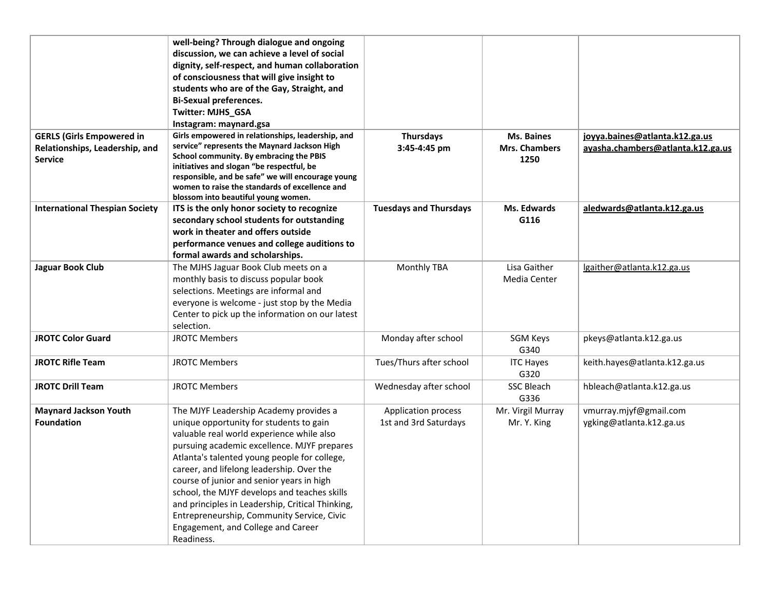|                                                                                      | well-being? Through dialogue and ongoing<br>discussion, we can achieve a level of social<br>dignity, self-respect, and human collaboration<br>of consciousness that will give insight to<br>students who are of the Gay, Straight, and<br><b>Bi-Sexual preferences.</b><br>Twitter: MJHS_GSA<br>Instagram: maynard.gsa                                                                                                                                                                                                        |                                              |                                                   |                                                                     |
|--------------------------------------------------------------------------------------|-------------------------------------------------------------------------------------------------------------------------------------------------------------------------------------------------------------------------------------------------------------------------------------------------------------------------------------------------------------------------------------------------------------------------------------------------------------------------------------------------------------------------------|----------------------------------------------|---------------------------------------------------|---------------------------------------------------------------------|
| <b>GERLS (Girls Empowered in</b><br>Relationships, Leadership, and<br><b>Service</b> | Girls empowered in relationships, leadership, and<br>service" represents the Maynard Jackson High<br>School community. By embracing the PBIS<br>initiatives and slogan "be respectful, be<br>responsible, and be safe" we will encourage young<br>women to raise the standards of excellence and<br>blossom into beautiful young women.                                                                                                                                                                                       | <b>Thursdays</b><br>3:45-4:45 pm             | <b>Ms. Baines</b><br><b>Mrs. Chambers</b><br>1250 | joyya.baines@atlanta.k12.ga.us<br>ayasha.chambers@atlanta.k12.ga.us |
| <b>International Thespian Society</b>                                                | ITS is the only honor society to recognize<br>secondary school students for outstanding<br>work in theater and offers outside<br>performance venues and college auditions to<br>formal awards and scholarships.                                                                                                                                                                                                                                                                                                               | <b>Tuesdays and Thursdays</b>                | Ms. Edwards<br>G116                               | aledwards@atlanta.k12.ga.us                                         |
| Jaguar Book Club                                                                     | The MJHS Jaguar Book Club meets on a<br>monthly basis to discuss popular book<br>selections. Meetings are informal and<br>everyone is welcome - just stop by the Media<br>Center to pick up the information on our latest<br>selection.                                                                                                                                                                                                                                                                                       | Monthly TBA                                  | Lisa Gaither<br>Media Center                      | lgaither@atlanta.k12.ga.us                                          |
| <b>JROTC Color Guard</b>                                                             | <b>JROTC Members</b>                                                                                                                                                                                                                                                                                                                                                                                                                                                                                                          | Monday after school                          | SGM Keys<br>G340                                  | pkeys@atlanta.k12.ga.us                                             |
| <b>JROTC Rifle Team</b>                                                              | <b>JROTC Members</b>                                                                                                                                                                                                                                                                                                                                                                                                                                                                                                          | Tues/Thurs after school                      | <b>ITC Hayes</b><br>G320                          | keith.hayes@atlanta.k12.ga.us                                       |
| <b>JROTC Drill Team</b>                                                              | <b>JROTC Members</b>                                                                                                                                                                                                                                                                                                                                                                                                                                                                                                          | Wednesday after school                       | <b>SSC Bleach</b><br>G336                         | hbleach@atlanta.k12.ga.us                                           |
| <b>Maynard Jackson Youth</b><br><b>Foundation</b>                                    | The MJYF Leadership Academy provides a<br>unique opportunity for students to gain<br>valuable real world experience while also<br>pursuing academic excellence. MJYF prepares<br>Atlanta's talented young people for college,<br>career, and lifelong leadership. Over the<br>course of junior and senior years in high<br>school, the MJYF develops and teaches skills<br>and principles in Leadership, Critical Thinking,<br>Entrepreneurship, Community Service, Civic<br>Engagement, and College and Career<br>Readiness. | Application process<br>1st and 3rd Saturdays | Mr. Virgil Murray<br>Mr. Y. King                  | vmurray.mjyf@gmail.com<br>ygking@atlanta.k12.ga.us                  |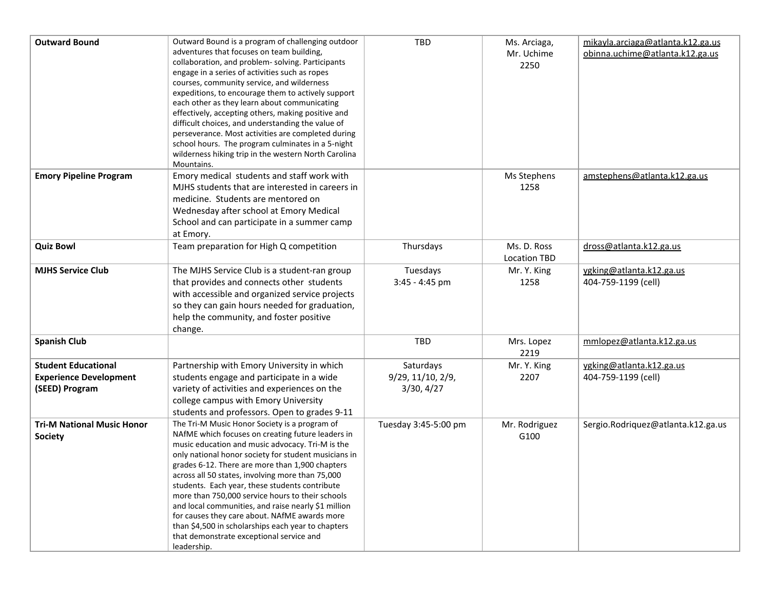| <b>Outward Bound</b>                                                          | Outward Bound is a program of challenging outdoor<br>adventures that focuses on team building,<br>collaboration, and problem-solving. Participants<br>engage in a series of activities such as ropes<br>courses, community service, and wilderness<br>expeditions, to encourage them to actively support<br>each other as they learn about communicating<br>effectively, accepting others, making positive and<br>difficult choices, and understanding the value of<br>perseverance. Most activities are completed during<br>school hours. The program culminates in a 5-night<br>wilderness hiking trip in the western North Carolina<br>Mountains. | <b>TBD</b>                                   | Ms. Arciaga,<br>Mr. Uchime<br>2250 | mikayla.arciaga@atlanta.k12.ga.us<br>obinna.uchime@atlanta.k12.ga.us |
|-------------------------------------------------------------------------------|------------------------------------------------------------------------------------------------------------------------------------------------------------------------------------------------------------------------------------------------------------------------------------------------------------------------------------------------------------------------------------------------------------------------------------------------------------------------------------------------------------------------------------------------------------------------------------------------------------------------------------------------------|----------------------------------------------|------------------------------------|----------------------------------------------------------------------|
| <b>Emory Pipeline Program</b>                                                 | Emory medical students and staff work with<br>MJHS students that are interested in careers in<br>medicine. Students are mentored on<br>Wednesday after school at Emory Medical<br>School and can participate in a summer camp<br>at Emory.                                                                                                                                                                                                                                                                                                                                                                                                           |                                              | Ms Stephens<br>1258                | amstephens@atlanta.k12.ga.us                                         |
| <b>Quiz Bowl</b>                                                              | Team preparation for High Q competition                                                                                                                                                                                                                                                                                                                                                                                                                                                                                                                                                                                                              | Thursdays                                    | Ms. D. Ross<br><b>Location TBD</b> | dross@atlanta.k12.ga.us                                              |
| <b>MJHS Service Club</b>                                                      | The MJHS Service Club is a student-ran group<br>that provides and connects other students<br>with accessible and organized service projects<br>so they can gain hours needed for graduation,<br>help the community, and foster positive<br>change.                                                                                                                                                                                                                                                                                                                                                                                                   | Tuesdays<br>$3:45 - 4:45$ pm                 | Mr. Y. King<br>1258                | ygking@atlanta.k12.ga.us<br>404-759-1199 (cell)                      |
| <b>Spanish Club</b>                                                           |                                                                                                                                                                                                                                                                                                                                                                                                                                                                                                                                                                                                                                                      | <b>TBD</b>                                   | Mrs. Lopez<br>2219                 | mmlopez@atlanta.k12.ga.us                                            |
| <b>Student Educational</b><br><b>Experience Development</b><br>(SEED) Program | Partnership with Emory University in which<br>students engage and participate in a wide<br>variety of activities and experiences on the<br>college campus with Emory University<br>students and professors. Open to grades 9-11                                                                                                                                                                                                                                                                                                                                                                                                                      | Saturdays<br>9/29, 11/10, 2/9,<br>3/30, 4/27 | Mr. Y. King<br>2207                | ygking@atlanta.k12.ga.us<br>404-759-1199 (cell)                      |
| <b>Tri-M National Music Honor</b><br><b>Society</b>                           | The Tri-M Music Honor Society is a program of<br>NAfME which focuses on creating future leaders in<br>music education and music advocacy. Tri-M is the<br>only national honor society for student musicians in<br>grades 6-12. There are more than 1,900 chapters<br>across all 50 states, involving more than 75,000<br>students. Each year, these students contribute<br>more than 750,000 service hours to their schools<br>and local communities, and raise nearly \$1 million<br>for causes they care about. NAfME awards more<br>than \$4,500 in scholarships each year to chapters<br>that demonstrate exceptional service and<br>leadership. | Tuesday 3:45-5:00 pm                         | Mr. Rodriguez<br>G100              | Sergio.Rodriquez@atlanta.k12.ga.us                                   |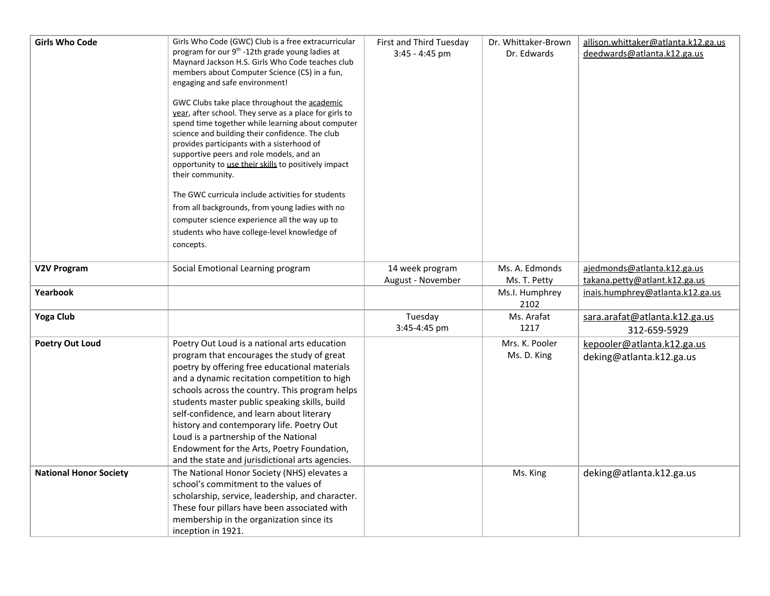| <b>Girls Who Code</b>         | Girls Who Code (GWC) Club is a free extracurricular<br>program for our 9 <sup>th</sup> -12th grade young ladies at<br>Maynard Jackson H.S. Girls Who Code teaches club<br>members about Computer Science (CS) in a fun,<br>engaging and safe environment!<br>GWC Clubs take place throughout the academic<br>year, after school. They serve as a place for girls to<br>spend time together while learning about computer<br>science and building their confidence. The club<br>provides participants with a sisterhood of          | First and Third Tuesday<br>$3:45 - 4:45$ pm | Dr. Whittaker-Brown<br>Dr. Edwards | allison.whittaker@atlanta.k12.ga.us<br>deedwards@atlanta.k12.ga.us |
|-------------------------------|------------------------------------------------------------------------------------------------------------------------------------------------------------------------------------------------------------------------------------------------------------------------------------------------------------------------------------------------------------------------------------------------------------------------------------------------------------------------------------------------------------------------------------|---------------------------------------------|------------------------------------|--------------------------------------------------------------------|
|                               | supportive peers and role models, and an<br>opportunity to use their skills to positively impact<br>their community.                                                                                                                                                                                                                                                                                                                                                                                                               |                                             |                                    |                                                                    |
|                               | The GWC curricula include activities for students<br>from all backgrounds, from young ladies with no<br>computer science experience all the way up to<br>students who have college-level knowledge of<br>concepts.                                                                                                                                                                                                                                                                                                                 |                                             |                                    |                                                                    |
| V2V Program                   | Social Emotional Learning program                                                                                                                                                                                                                                                                                                                                                                                                                                                                                                  | 14 week program<br>August - November        | Ms. A. Edmonds<br>Ms. T. Petty     | ajedmonds@atlanta.k12.ga.us<br>takana.petty@atlant.k12.ga.us       |
| Yearbook                      |                                                                                                                                                                                                                                                                                                                                                                                                                                                                                                                                    |                                             | Ms.I. Humphrey<br>2102             | inais.humphrey@atlanta.k12.ga.us                                   |
| <b>Yoga Club</b>              |                                                                                                                                                                                                                                                                                                                                                                                                                                                                                                                                    | Tuesday<br>3:45-4:45 pm                     | Ms. Arafat<br>1217                 | sara.arafat@atlanta.k12.ga.us<br>312-659-5929                      |
| <b>Poetry Out Loud</b>        | Poetry Out Loud is a national arts education<br>program that encourages the study of great<br>poetry by offering free educational materials<br>and a dynamic recitation competition to high<br>schools across the country. This program helps<br>students master public speaking skills, build<br>self-confidence, and learn about literary<br>history and contemporary life. Poetry Out<br>Loud is a partnership of the National<br>Endowment for the Arts, Poetry Foundation,<br>and the state and jurisdictional arts agencies. |                                             | Mrs. K. Pooler<br>Ms. D. King      | kepooler@atlanta.k12.ga.us<br>deking@atlanta.k12.ga.us             |
| <b>National Honor Society</b> | The National Honor Society (NHS) elevates a<br>school's commitment to the values of<br>scholarship, service, leadership, and character.<br>These four pillars have been associated with<br>membership in the organization since its<br>inception in 1921.                                                                                                                                                                                                                                                                          |                                             | Ms. King                           | deking@atlanta.k12.ga.us                                           |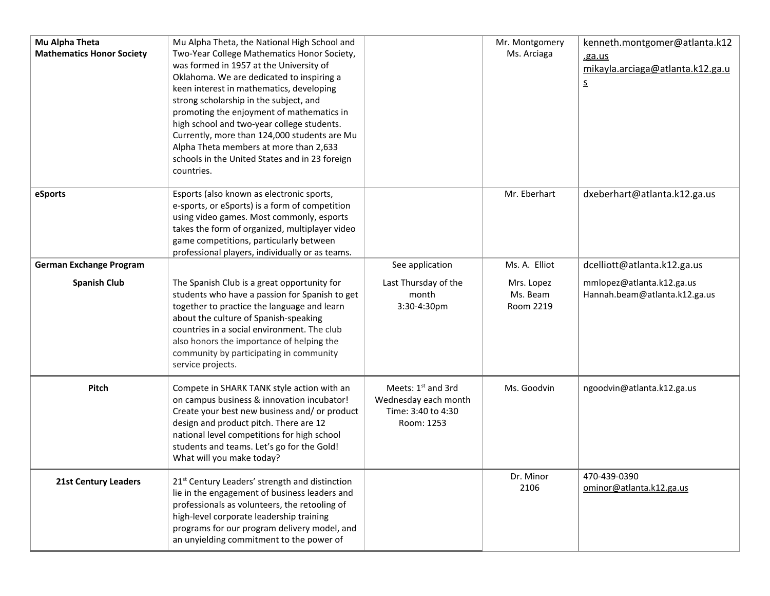| Mu Alpha Theta<br><b>Mathematics Honor Society</b> | Mu Alpha Theta, the National High School and<br>Two-Year College Mathematics Honor Society,<br>was formed in 1957 at the University of<br>Oklahoma. We are dedicated to inspiring a<br>keen interest in mathematics, developing<br>strong scholarship in the subject, and<br>promoting the enjoyment of mathematics in<br>high school and two-year college students.<br>Currently, more than 124,000 students are Mu<br>Alpha Theta members at more than 2,633<br>schools in the United States and in 23 foreign<br>countries. |                                                                                | Mr. Montgomery<br>Ms. Arciaga       | kenneth.montgomer@atlanta.k12<br>.ga.us<br>mikayla.arciaga@atlanta.k12.ga.u<br><u>s</u> |
|----------------------------------------------------|--------------------------------------------------------------------------------------------------------------------------------------------------------------------------------------------------------------------------------------------------------------------------------------------------------------------------------------------------------------------------------------------------------------------------------------------------------------------------------------------------------------------------------|--------------------------------------------------------------------------------|-------------------------------------|-----------------------------------------------------------------------------------------|
| eSports                                            | Esports (also known as electronic sports,<br>e-sports, or eSports) is a form of competition<br>using video games. Most commonly, esports<br>takes the form of organized, multiplayer video<br>game competitions, particularly between<br>professional players, individually or as teams.                                                                                                                                                                                                                                       |                                                                                | Mr. Eberhart                        | dxeberhart@atlanta.k12.ga.us                                                            |
| <b>German Exchange Program</b>                     |                                                                                                                                                                                                                                                                                                                                                                                                                                                                                                                                | See application                                                                | Ms. A. Elliot                       | dcelliott@atlanta.k12.ga.us                                                             |
| <b>Spanish Club</b>                                | The Spanish Club is a great opportunity for<br>students who have a passion for Spanish to get<br>together to practice the language and learn<br>about the culture of Spanish-speaking<br>countries in a social environment. The club<br>also honors the importance of helping the<br>community by participating in community<br>service projects.                                                                                                                                                                              | Last Thursday of the<br>month<br>3:30-4:30pm                                   | Mrs. Lopez<br>Ms. Beam<br>Room 2219 | mmlopez@atlanta.k12.ga.us<br>Hannah.beam@atlanta.k12.ga.us                              |
| Pitch                                              | Compete in SHARK TANK style action with an<br>on campus business & innovation incubator!<br>Create your best new business and/ or product<br>design and product pitch. There are 12<br>national level competitions for high school<br>students and teams. Let's go for the Gold!<br>What will you make today?                                                                                                                                                                                                                  | Meets: 1st and 3rd<br>Wednesday each month<br>Time: 3:40 to 4:30<br>Room: 1253 | Ms. Goodvin                         | ngoodvin@atlanta.k12.ga.us                                                              |
| <b>21st Century Leaders</b>                        | 21 <sup>st</sup> Century Leaders' strength and distinction<br>lie in the engagement of business leaders and<br>professionals as volunteers, the retooling of<br>high-level corporate leadership training<br>programs for our program delivery model, and<br>an unyielding commitment to the power of                                                                                                                                                                                                                           |                                                                                | Dr. Minor<br>2106                   | 470-439-0390<br>ominor@atlanta.k12.ga.us                                                |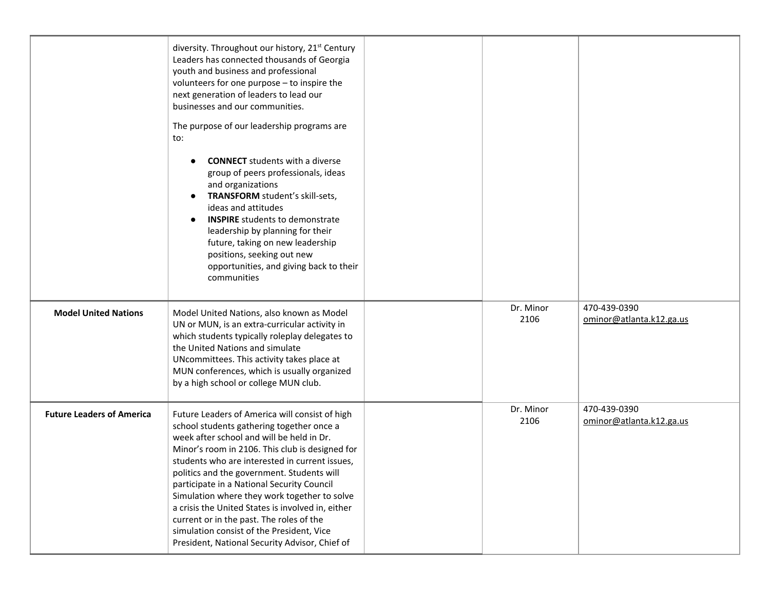|                                  | diversity. Throughout our history, 21 <sup>st</sup> Century<br>Leaders has connected thousands of Georgia<br>youth and business and professional<br>volunteers for one purpose - to inspire the<br>next generation of leaders to lead our<br>businesses and our communities.<br>The purpose of our leadership programs are<br>to:<br><b>CONNECT</b> students with a diverse<br>group of peers professionals, ideas<br>and organizations<br>TRANSFORM student's skill-sets,<br>$\bullet$<br>ideas and attitudes<br><b>INSPIRE</b> students to demonstrate<br>$\bullet$<br>leadership by planning for their<br>future, taking on new leadership<br>positions, seeking out new<br>opportunities, and giving back to their<br>communities |                   |                                          |
|----------------------------------|---------------------------------------------------------------------------------------------------------------------------------------------------------------------------------------------------------------------------------------------------------------------------------------------------------------------------------------------------------------------------------------------------------------------------------------------------------------------------------------------------------------------------------------------------------------------------------------------------------------------------------------------------------------------------------------------------------------------------------------|-------------------|------------------------------------------|
| <b>Model United Nations</b>      | Model United Nations, also known as Model<br>UN or MUN, is an extra-curricular activity in<br>which students typically roleplay delegates to<br>the United Nations and simulate<br>UNcommittees. This activity takes place at<br>MUN conferences, which is usually organized<br>by a high school or college MUN club.                                                                                                                                                                                                                                                                                                                                                                                                                 | Dr. Minor<br>2106 | 470-439-0390<br>ominor@atlanta.k12.ga.us |
| <b>Future Leaders of America</b> | Future Leaders of America will consist of high<br>school students gathering together once a<br>week after school and will be held in Dr.<br>Minor's room in 2106. This club is designed for<br>students who are interested in current issues,<br>politics and the government. Students will<br>participate in a National Security Council<br>Simulation where they work together to solve<br>a crisis the United States is involved in, either<br>current or in the past. The roles of the<br>simulation consist of the President, Vice<br>President, National Security Advisor, Chief of                                                                                                                                             | Dr. Minor<br>2106 | 470-439-0390<br>ominor@atlanta.k12.ga.us |